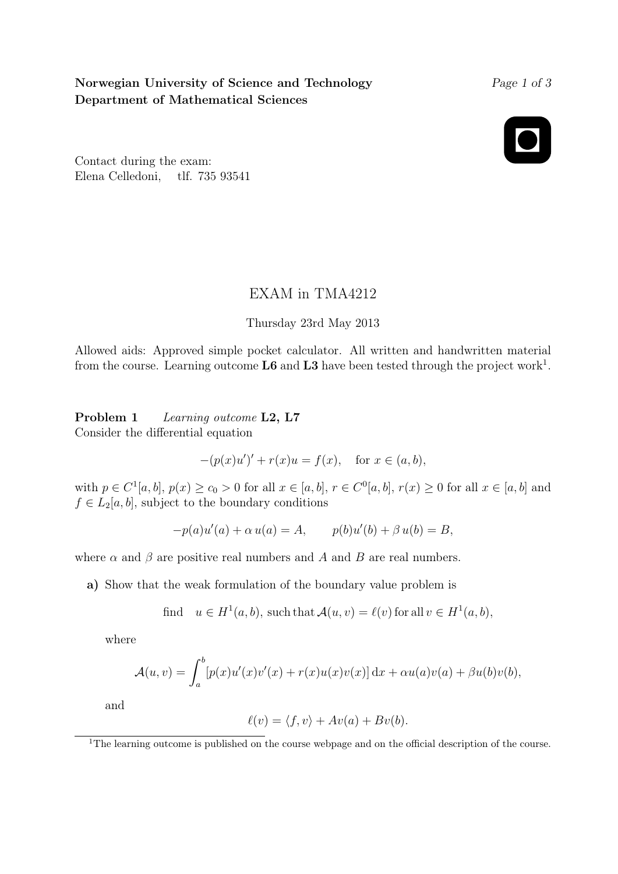# Norwegian University of Science and Technology Department of Mathematical Sciences

### Page 1 of 3

Contact during the exam: Elena Celledoni, tlf. 735 93541

## EXAM in TMA4212

### Thursday 23rd May 2013

Allowed aids: Approved simple pocket calculator. All written and handwritten material from the course. Learning outcome  $\text{L6}$  and  $\text{L3}$  have been tested through the project work<sup>1</sup>.

Problem 1 Learning outcome L2, L7 Consider the differential equation

$$
-(p(x)u')' + r(x)u = f(x),
$$
 for  $x \in (a, b),$ 

with  $p \in C^{1}[a, b], p(x) \ge c_0 > 0$  for all  $x \in [a, b], r \in C^{0}[a, b], r(x) \ge 0$  for all  $x \in [a, b]$  and  $f \in L_2[a, b]$ , subject to the boundary conditions

$$
-p(a)u'(a) + \alpha u(a) = A, \qquad p(b)u'(b) + \beta u(b) = B,
$$

where  $\alpha$  and  $\beta$  are positive real numbers and A and B are real numbers.

a) Show that the weak formulation of the boundary value problem is

find 
$$
u \in H^1(a, b)
$$
, such that  $\mathcal{A}(u, v) = \ell(v)$  for all  $v \in H^1(a, b)$ ,

where

$$
\mathcal{A}(u,v) = \int_a^b [p(x)u'(x)v'(x) + r(x)u(x)v(x)] dx + \alpha u(a)v(a) + \beta u(b)v(b),
$$

and

$$
\ell(v) = \langle f, v \rangle + Av(a) + Bv(b).
$$

<sup>1</sup>The learning outcome is published on the course webpage and on the official description of the course.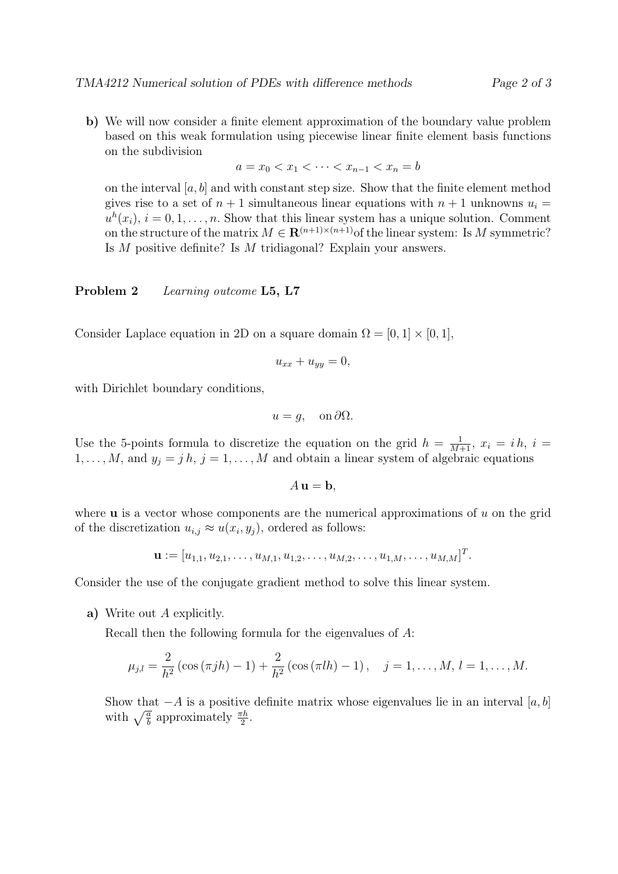- 
- b) We will now consider a finite element approximation of the boundary value problem based on this weak formulation using piecewise linear finite element basis functions on the subdivision

$$
a = x_0 < x_1 < \dots < x_{n-1} < x_n = b
$$

on the interval  $[a, b]$  and with constant step size. Show that the finite element method gives rise to a set of  $n + 1$  simultaneous linear equations with  $n + 1$  unknowns  $u_i =$  $u^{h}(x_i)$ ,  $i = 0, 1, \ldots, n$ . Show that this linear system has a unique solution. Comment on the structure of the matrix  $M \in \mathbb{R}^{(n+1)\times(n+1)}$  of the linear system: Is M symmetric? Is M positive definite? Is M tridiagonal? Explain your answers.

#### Problem 2 Learning outcome L5, L7

Consider Laplace equation in 2D on a square domain  $\Omega = [0, 1] \times [0, 1]$ ,

$$
u_{xx} + u_{yy} = 0,
$$

with Dirichlet boundary conditions,

$$
u = g, \quad \text{on } \partial\Omega.
$$

Use the 5-points formula to discretize the equation on the grid  $h = \frac{1}{M+1}$ ,  $x_i = ih$ ,  $i =$  $1, \ldots, M$ , and  $y_j = j h$ ,  $j = 1, \ldots, M$  and obtain a linear system of algebraic equations

 $A$ **u** = **b**,

where  $\bf{u}$  is a vector whose components are the numerical approximations of  $u$  on the grid of the discretization  $u_{i,j} \approx u(x_i, y_j)$ , ordered as follows:

$$
\mathbf{u} := [u_{1,1}, u_{2,1}, \dots, u_{M,1}, u_{1,2}, \dots, u_{M,2}, \dots, u_{1,M}, \dots, u_{M,M}]^T.
$$

Consider the use of the conjugate gradient method to solve this linear system.

a) Write out A explicitly.

Recall then the following formula for the eigenvalues of A:

$$
\mu_{j,l} = \frac{2}{h^2} \left( \cos \left( \pi j h \right) - 1 \right) + \frac{2}{h^2} \left( \cos \left( \pi l h \right) - 1 \right), \quad j = 1, \dots, M, l = 1, \dots, M.
$$

Show that  $-A$  is a positive definite matrix whose eigenvalues lie in an interval [a, b] with  $\sqrt{\frac{a}{b}}$  approximately  $\frac{\pi h}{2}$ .